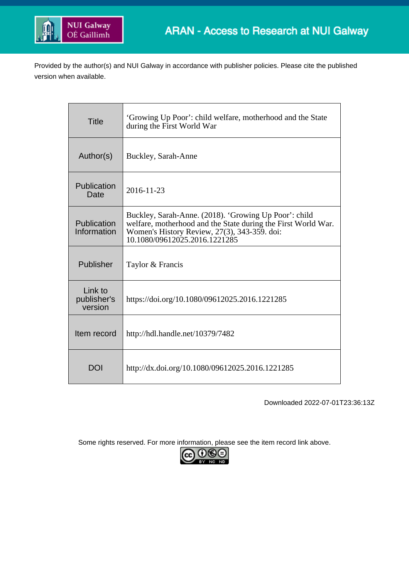

Provided by the author(s) and NUI Galway in accordance with publisher policies. Please cite the published version when available.

| <b>Title</b>                      | 'Growing Up Poor': child welfare, motherhood and the State<br>during the First World War                                                                                                                |  |  |
|-----------------------------------|---------------------------------------------------------------------------------------------------------------------------------------------------------------------------------------------------------|--|--|
| Author(s)                         | Buckley, Sarah-Anne                                                                                                                                                                                     |  |  |
| Publication<br>Date               | 2016-11-23                                                                                                                                                                                              |  |  |
| Publication<br>Information        | Buckley, Sarah-Anne. (2018). 'Growing Up Poor': child<br>welfare, motherhood and the State during the First World War.<br>Women's History Review, 27(3), 343-359. doi:<br>10.1080/09612025.2016.1221285 |  |  |
| Publisher                         | Taylor & Francis                                                                                                                                                                                        |  |  |
| Link to<br>publisher's<br>version | https://doi.org/10.1080/09612025.2016.1221285                                                                                                                                                           |  |  |
| Item record                       | http://hdl.handle.net/10379/7482                                                                                                                                                                        |  |  |
| <b>DOI</b>                        | http://dx.doi.org/10.1080/09612025.2016.1221285                                                                                                                                                         |  |  |

Downloaded 2022-07-01T23:36:13Z

Some rights reserved. For more information, please see the item record link above.

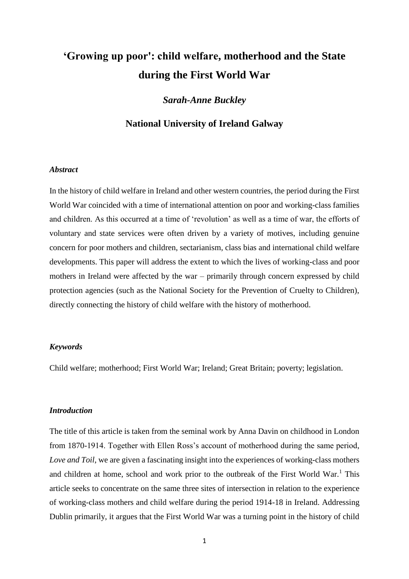# **'Growing up poor': child welfare, motherhood and the State during the First World War**

## *Sarah-Anne Buckley*

### **National University of Ireland Galway**

#### *Abstract*

In the history of child welfare in Ireland and other western countries, the period during the First World War coincided with a time of international attention on poor and working-class families and children. As this occurred at a time of 'revolution' as well as a time of war, the efforts of voluntary and state services were often driven by a variety of motives, including genuine concern for poor mothers and children, sectarianism, class bias and international child welfare developments. This paper will address the extent to which the lives of working-class and poor mothers in Ireland were affected by the war – primarily through concern expressed by child protection agencies (such as the National Society for the Prevention of Cruelty to Children), directly connecting the history of child welfare with the history of motherhood.

#### *Keywords*

Child welfare; motherhood; First World War; Ireland; Great Britain; poverty; legislation.

#### *Introduction*

The title of this article is taken from the seminal work by Anna Davin on childhood in London from 1870-1914. Together with Ellen Ross's account of motherhood during the same period, *Love and Toil*, we are given a fascinating insight into the experiences of working-class mothers and children at home, school and work prior to the outbreak of the First World War.<sup>1</sup> This article seeks to concentrate on the same three sites of intersection in relation to the experience of working-class mothers and child welfare during the period 1914-18 in Ireland. Addressing Dublin primarily, it argues that the First World War was a turning point in the history of child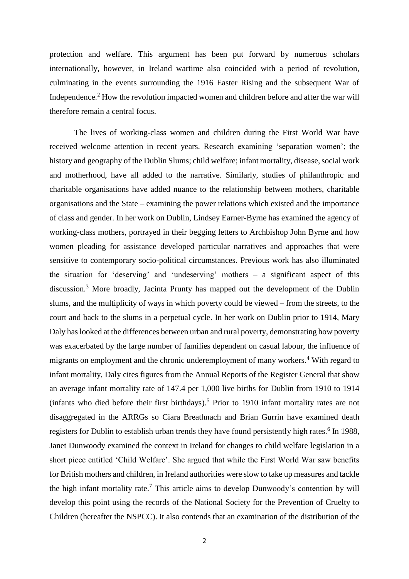protection and welfare. This argument has been put forward by numerous scholars internationally, however, in Ireland wartime also coincided with a period of revolution, culminating in the events surrounding the 1916 Easter Rising and the subsequent War of Independence.<sup>2</sup> How the revolution impacted women and children before and after the war will therefore remain a central focus.

The lives of working-class women and children during the First World War have received welcome attention in recent years. Research examining 'separation women'; the history and geography of the Dublin Slums; child welfare; infant mortality, disease, social work and motherhood, have all added to the narrative. Similarly, studies of philanthropic and charitable organisations have added nuance to the relationship between mothers, charitable organisations and the State – examining the power relations which existed and the importance of class and gender. In her work on Dublin, Lindsey Earner-Byrne has examined the agency of working-class mothers, portrayed in their begging letters to Archbishop John Byrne and how women pleading for assistance developed particular narratives and approaches that were sensitive to contemporary socio-political circumstances. Previous work has also illuminated the situation for 'deserving' and 'undeserving' mothers – a significant aspect of this discussion.<sup>3</sup> More broadly, Jacinta Prunty has mapped out the development of the Dublin slums, and the multiplicity of ways in which poverty could be viewed – from the streets, to the court and back to the slums in a perpetual cycle. In her work on Dublin prior to 1914, Mary Daly has looked at the differences between urban and rural poverty, demonstrating how poverty was exacerbated by the large number of families dependent on casual labour, the influence of migrants on employment and the chronic underemployment of many workers.<sup>4</sup> With regard to infant mortality, Daly cites figures from the Annual Reports of the Register General that show an average infant mortality rate of 147.4 per 1,000 live births for Dublin from 1910 to 1914 (infants who died before their first birthdays). <sup>5</sup> Prior to 1910 infant mortality rates are not disaggregated in the ARRGs so Ciara Breathnach and Brian Gurrin have examined death registers for Dublin to establish urban trends they have found persistently high rates.<sup>6</sup> In 1988, Janet Dunwoody examined the context in Ireland for changes to child welfare legislation in a short piece entitled 'Child Welfare'. She argued that while the First World War saw benefits for British mothers and children, in Ireland authorities were slow to take up measures and tackle the high infant mortality rate.<sup>7</sup> This article aims to develop Dunwoody's contention by will develop this point using the records of the National Society for the Prevention of Cruelty to Children (hereafter the NSPCC). It also contends that an examination of the distribution of the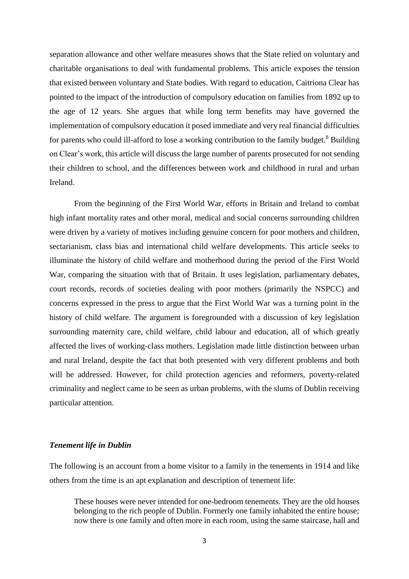separation allowance and other welfare measures shows that the State relied on voluntary and charitable organisations to deal with fundamental problems. This article exposes the tension that existed between voluntary and State bodies. With regard to education, Caitriona Clear has pointed to the impact of the introduction of compulsory education on families from 1892 up to the age of 12 years. She argues that while long term benefits may have governed the implementation of compulsory education it posed immediate and very real financial difficulties for parents who could ill-afford to lose a working contribution to the family budget.<sup>8</sup> Building on Clear's work, this article will discuss the large number of parents prosecuted for not sending their children to school, and the differences between work and childhood in rural and urban Ireland.

From the beginning of the First World War, efforts in Britain and Ireland to combat high infant mortality rates and other moral, medical and social concerns surrounding children were driven by a variety of motives including genuine concern for poor mothers and children, sectarianism, class bias and international child welfare developments. This article seeks to illuminate the history of child welfare and motherhood during the period of the First World War, comparing the situation with that of Britain. It uses legislation, parliamentary debates, court records, records of societies dealing with poor mothers (primarily the NSPCC) and concerns expressed in the press to argue that the First World War was a turning point in the history of child welfare. The argument is foregrounded with a discussion of key legislation surrounding maternity care, child welfare, child labour and education, all of which greatly affected the lives of working-class mothers. Legislation made little distinction between urban and rural Ireland, despite the fact that both presented with very different problems and both will be addressed. However, for child protection agencies and reformers, poverty-related criminality and neglect came to be seen as urban problems, with the slums of Dublin receiving particular attention.

#### *Tenement life in Dublin*

The following is an account from a home visitor to a family in the tenements in 1914 and like others from the time is an apt explanation and description of tenement life:

These houses were never intended for one-bedroom tenements. They are the old houses belonging to the rich people of Dublin. Formerly one family inhabited the entire house; now there is one family and often more in each room, using the same staircase, hall and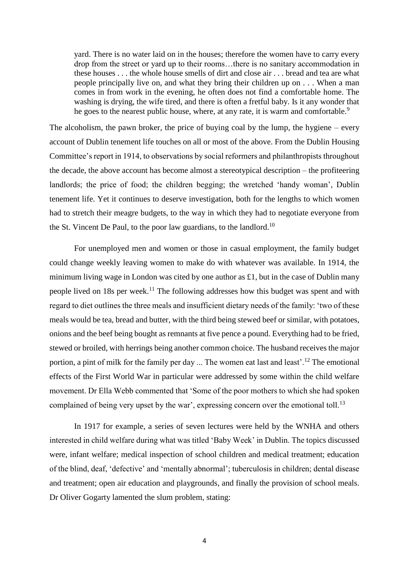yard. There is no water laid on in the houses; therefore the women have to carry every drop from the street or yard up to their rooms…there is no sanitary accommodation in these houses . . . the whole house smells of dirt and close air . . . bread and tea are what people principally live on, and what they bring their children up on . . . When a man comes in from work in the evening, he often does not find a comfortable home. The washing is drying, the wife tired, and there is often a fretful baby. Is it any wonder that he goes to the nearest public house, where, at any rate, it is warm and comfortable.<sup>9</sup>

The alcoholism, the pawn broker, the price of buying coal by the lump, the hygiene – every account of Dublin tenement life touches on all or most of the above. From the Dublin Housing Committee's report in 1914, to observations by social reformers and philanthropists throughout the decade, the above account has become almost a stereotypical description – the profiteering landlords; the price of food; the children begging; the wretched 'handy woman', Dublin tenement life. Yet it continues to deserve investigation, both for the lengths to which women had to stretch their meagre budgets, to the way in which they had to negotiate everyone from the St. Vincent De Paul, to the poor law guardians, to the landlord.<sup>10</sup>

For unemployed men and women or those in casual employment, the family budget could change weekly leaving women to make do with whatever was available. In 1914, the minimum living wage in London was cited by one author as £1, but in the case of Dublin many people lived on 18s per week.<sup>11</sup> The following addresses how this budget was spent and with regard to diet outlines the three meals and insufficient dietary needs of the family: 'two of these meals would be tea, bread and butter, with the third being stewed beef or similar, with potatoes, onions and the beef being bought as remnants at five pence a pound. Everything had to be fried, stewed or broiled, with herrings being another common choice. The husband receives the major portion, a pint of milk for the family per day ... The women eat last and least'.<sup>12</sup> The emotional effects of the First World War in particular were addressed by some within the child welfare movement. Dr Ella Webb commented that 'Some of the poor mothers to which she had spoken complained of being very upset by the war', expressing concern over the emotional toll.<sup>13</sup>

In 1917 for example, a series of seven lectures were held by the WNHA and others interested in child welfare during what was titled 'Baby Week' in Dublin. The topics discussed were, infant welfare; medical inspection of school children and medical treatment; education of the blind, deaf, 'defective' and 'mentally abnormal'; tuberculosis in children; dental disease and treatment; open air education and playgrounds, and finally the provision of school meals. Dr Oliver Gogarty lamented the slum problem, stating: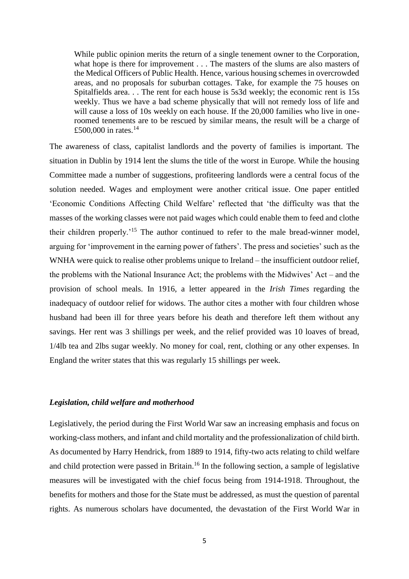While public opinion merits the return of a single tenement owner to the Corporation, what hope is there for improvement . . . The masters of the slums are also masters of the Medical Officers of Public Health. Hence, various housing schemes in overcrowded areas, and no proposals for suburban cottages. Take, for example the 75 houses on Spitalfields area. . . The rent for each house is 5s3d weekly; the economic rent is 15s weekly. Thus we have a bad scheme physically that will not remedy loss of life and will cause a loss of 10s weekly on each house. If the 20,000 families who live in oneroomed tenements are to be rescued by similar means, the result will be a charge of £500,000 in rates.<sup>14</sup>

The awareness of class, capitalist landlords and the poverty of families is important. The situation in Dublin by 1914 lent the slums the title of the worst in Europe. While the housing Committee made a number of suggestions, profiteering landlords were a central focus of the solution needed. Wages and employment were another critical issue. One paper entitled 'Economic Conditions Affecting Child Welfare' reflected that 'the difficulty was that the masses of the working classes were not paid wages which could enable them to feed and clothe their children properly.<sup>15</sup> The author continued to refer to the male bread-winner model, arguing for 'improvement in the earning power of fathers'. The press and societies' such as the WNHA were quick to realise other problems unique to Ireland – the insufficient outdoor relief, the problems with the National Insurance Act; the problems with the Midwives' Act – and the provision of school meals. In 1916, a letter appeared in the *Irish Times* regarding the inadequacy of outdoor relief for widows. The author cites a mother with four children whose husband had been ill for three years before his death and therefore left them without any savings. Her rent was 3 shillings per week, and the relief provided was 10 loaves of bread, 1/4lb tea and 2lbs sugar weekly. No money for coal, rent, clothing or any other expenses. In England the writer states that this was regularly 15 shillings per week.

#### *Legislation, child welfare and motherhood*

Legislatively, the period during the First World War saw an increasing emphasis and focus on working-class mothers, and infant and child mortality and the professionalization of child birth. As documented by Harry Hendrick, from 1889 to 1914, fifty-two acts relating to child welfare and child protection were passed in Britain.<sup>16</sup> In the following section, a sample of legislative measures will be investigated with the chief focus being from 1914-1918. Throughout, the benefits for mothers and those for the State must be addressed, as must the question of parental rights. As numerous scholars have documented, the devastation of the First World War in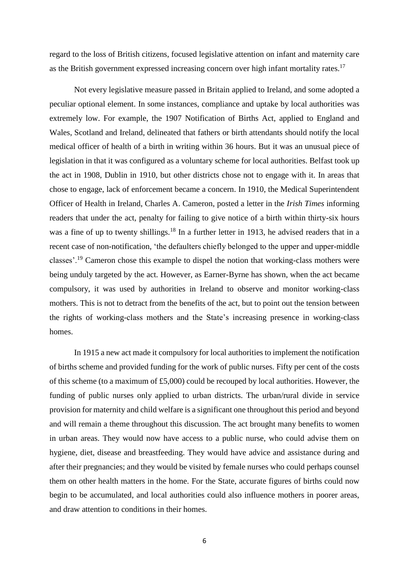regard to the loss of British citizens, focused legislative attention on infant and maternity care as the British government expressed increasing concern over high infant mortality rates.<sup>17</sup>

Not every legislative measure passed in Britain applied to Ireland, and some adopted a peculiar optional element. In some instances, compliance and uptake by local authorities was extremely low. For example, the 1907 Notification of Births Act, applied to England and Wales, Scotland and Ireland, delineated that fathers or birth attendants should notify the local medical officer of health of a birth in writing within 36 hours. But it was an unusual piece of legislation in that it was configured as a voluntary scheme for local authorities. Belfast took up the act in 1908, Dublin in 1910, but other districts chose not to engage with it. In areas that chose to engage, lack of enforcement became a concern. In 1910, the Medical Superintendent Officer of Health in Ireland, Charles A. Cameron, posted a letter in the *Irish Times* informing readers that under the act, penalty for failing to give notice of a birth within thirty-six hours was a fine of up to twenty shillings.<sup>18</sup> In a further letter in 1913, he advised readers that in a recent case of non-notification, 'the defaulters chiefly belonged to the upper and upper-middle classes'.<sup>19</sup> Cameron chose this example to dispel the notion that working-class mothers were being unduly targeted by the act. However, as Earner-Byrne has shown, when the act became compulsory, it was used by authorities in Ireland to observe and monitor working-class mothers. This is not to detract from the benefits of the act, but to point out the tension between the rights of working-class mothers and the State's increasing presence in working-class homes.

In 1915 a new act made it compulsory for local authorities to implement the notification of births scheme and provided funding for the work of public nurses. Fifty per cent of the costs of this scheme (to a maximum of £5,000) could be recouped by local authorities. However, the funding of public nurses only applied to urban districts. The urban/rural divide in service provision for maternity and child welfare is a significant one throughout this period and beyond and will remain a theme throughout this discussion. The act brought many benefits to women in urban areas. They would now have access to a public nurse, who could advise them on hygiene, diet, disease and breastfeeding. They would have advice and assistance during and after their pregnancies; and they would be visited by female nurses who could perhaps counsel them on other health matters in the home. For the State, accurate figures of births could now begin to be accumulated, and local authorities could also influence mothers in poorer areas, and draw attention to conditions in their homes.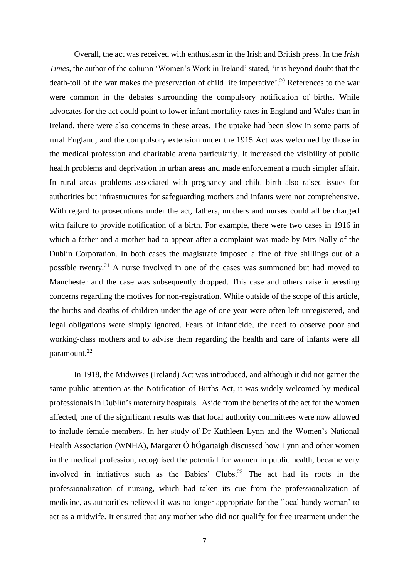Overall, the act was received with enthusiasm in the Irish and British press. In the *Irish Times,* the author of the column 'Women's Work in Ireland' stated, 'it is beyond doubt that the death-toll of the war makes the preservation of child life imperative'. <sup>20</sup> References to the war were common in the debates surrounding the compulsory notification of births. While advocates for the act could point to lower infant mortality rates in England and Wales than in Ireland, there were also concerns in these areas. The uptake had been slow in some parts of rural England, and the compulsory extension under the 1915 Act was welcomed by those in the medical profession and charitable arena particularly. It increased the visibility of public health problems and deprivation in urban areas and made enforcement a much simpler affair. In rural areas problems associated with pregnancy and child birth also raised issues for authorities but infrastructures for safeguarding mothers and infants were not comprehensive. With regard to prosecutions under the act, fathers, mothers and nurses could all be charged with failure to provide notification of a birth. For example, there were two cases in 1916 in which a father and a mother had to appear after a complaint was made by Mrs Nally of the Dublin Corporation. In both cases the magistrate imposed a fine of five shillings out of a possible twenty.<sup>21</sup> A nurse involved in one of the cases was summoned but had moved to Manchester and the case was subsequently dropped. This case and others raise interesting concerns regarding the motives for non-registration. While outside of the scope of this article, the births and deaths of children under the age of one year were often left unregistered, and legal obligations were simply ignored. Fears of infanticide, the need to observe poor and working-class mothers and to advise them regarding the health and care of infants were all paramount.<sup>22</sup>

In 1918, the Midwives (Ireland) Act was introduced, and although it did not garner the same public attention as the Notification of Births Act, it was widely welcomed by medical professionals in Dublin's maternity hospitals. Aside from the benefits of the act for the women affected, one of the significant results was that local authority committees were now allowed to include female members. In her study of Dr Kathleen Lynn and the Women's National Health Association (WNHA), Margaret Ó hÓgartaigh discussed how Lynn and other women in the medical profession, recognised the potential for women in public health, became very involved in initiatives such as the Babies' Clubs.<sup>23</sup> The act had its roots in the professionalization of nursing, which had taken its cue from the professionalization of medicine, as authorities believed it was no longer appropriate for the 'local handy woman' to act as a midwife. It ensured that any mother who did not qualify for free treatment under the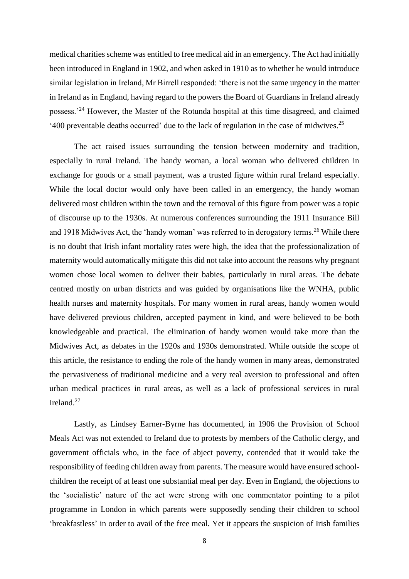medical charities scheme was entitled to free medical aid in an emergency. The Act had initially been introduced in England in 1902, and when asked in 1910 as to whether he would introduce similar legislation in Ireland, Mr Birrell responded: 'there is not the same urgency in the matter in Ireland as in England, having regard to the powers the Board of Guardians in Ireland already possess.'<sup>24</sup> However, the Master of the Rotunda hospital at this time disagreed, and claimed '400 preventable deaths occurred' due to the lack of regulation in the case of midwives. 25

The act raised issues surrounding the tension between modernity and tradition, especially in rural Ireland. The handy woman, a local woman who delivered children in exchange for goods or a small payment, was a trusted figure within rural Ireland especially. While the local doctor would only have been called in an emergency, the handy woman delivered most children within the town and the removal of this figure from power was a topic of discourse up to the 1930s. At numerous conferences surrounding the 1911 Insurance Bill and 1918 Midwives Act, the 'handy woman' was referred to in derogatory terms.<sup>26</sup> While there is no doubt that Irish infant mortality rates were high, the idea that the professionalization of maternity would automatically mitigate this did not take into account the reasons why pregnant women chose local women to deliver their babies, particularly in rural areas. The debate centred mostly on urban districts and was guided by organisations like the WNHA, public health nurses and maternity hospitals. For many women in rural areas, handy women would have delivered previous children, accepted payment in kind, and were believed to be both knowledgeable and practical. The elimination of handy women would take more than the Midwives Act, as debates in the 1920s and 1930s demonstrated. While outside the scope of this article, the resistance to ending the role of the handy women in many areas, demonstrated the pervasiveness of traditional medicine and a very real aversion to professional and often urban medical practices in rural areas, as well as a lack of professional services in rural Ireland.<sup>27</sup>

Lastly, as Lindsey Earner-Byrne has documented, in 1906 the Provision of School Meals Act was not extended to Ireland due to protests by members of the Catholic clergy, and government officials who, in the face of abject poverty, contended that it would take the responsibility of feeding children away from parents. The measure would have ensured schoolchildren the receipt of at least one substantial meal per day. Even in England, the objections to the 'socialistic' nature of the act were strong with one commentator pointing to a pilot programme in London in which parents were supposedly sending their children to school 'breakfastless' in order to avail of the free meal. Yet it appears the suspicion of Irish families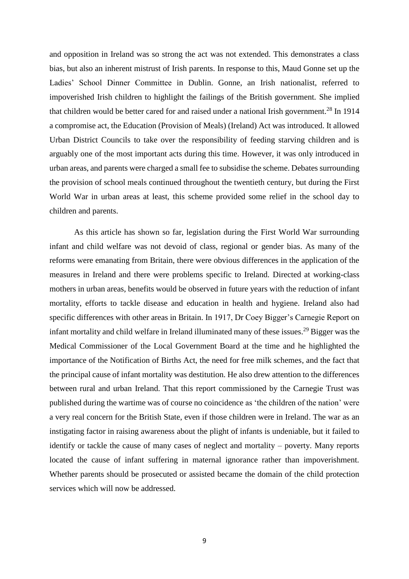and opposition in Ireland was so strong the act was not extended. This demonstrates a class bias, but also an inherent mistrust of Irish parents. In response to this, Maud Gonne set up the Ladies' School Dinner Committee in Dublin. Gonne, an Irish nationalist, referred to impoverished Irish children to highlight the failings of the British government. She implied that children would be better cared for and raised under a national Irish government.<sup>28</sup> In 1914 a compromise act, the Education (Provision of Meals) (Ireland) Act was introduced. It allowed Urban District Councils to take over the responsibility of feeding starving children and is arguably one of the most important acts during this time. However, it was only introduced in urban areas, and parents were charged a small fee to subsidise the scheme. Debates surrounding the provision of school meals continued throughout the twentieth century, but during the First World War in urban areas at least, this scheme provided some relief in the school day to children and parents.

As this article has shown so far, legislation during the First World War surrounding infant and child welfare was not devoid of class, regional or gender bias. As many of the reforms were emanating from Britain, there were obvious differences in the application of the measures in Ireland and there were problems specific to Ireland. Directed at working-class mothers in urban areas, benefits would be observed in future years with the reduction of infant mortality, efforts to tackle disease and education in health and hygiene. Ireland also had specific differences with other areas in Britain. In 1917, Dr Coey Bigger's Carnegie Report on infant mortality and child welfare in Ireland illuminated many of these issues.<sup>29</sup> Bigger was the Medical Commissioner of the Local Government Board at the time and he highlighted the importance of the Notification of Births Act, the need for free milk schemes, and the fact that the principal cause of infant mortality was destitution. He also drew attention to the differences between rural and urban Ireland. That this report commissioned by the Carnegie Trust was published during the wartime was of course no coincidence as 'the children of the nation' were a very real concern for the British State, even if those children were in Ireland. The war as an instigating factor in raising awareness about the plight of infants is undeniable, but it failed to identify or tackle the cause of many cases of neglect and mortality – poverty. Many reports located the cause of infant suffering in maternal ignorance rather than impoverishment. Whether parents should be prosecuted or assisted became the domain of the child protection services which will now be addressed.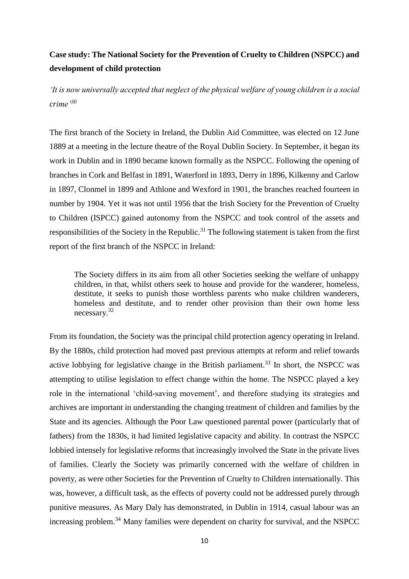## **Case study: The National Society for the Prevention of Cruelty to Children (NSPCC) and development of child protection**

*'It is now universally accepted that neglect of the physical welfare of young children is a social crime'<sup>30</sup>*

The first branch of the Society in Ireland, the Dublin Aid Committee, was elected on 12 June 1889 at a meeting in the lecture theatre of the Royal Dublin Society. In September, it began its work in Dublin and in 1890 became known formally as the NSPCC. Following the opening of branches in Cork and Belfast in 1891, Waterford in 1893, Derry in 1896, Kilkenny and Carlow in 1897, Clonmel in 1899 and Athlone and Wexford in 1901, the branches reached fourteen in number by 1904. Yet it was not until 1956 that the Irish Society for the Prevention of Cruelty to Children (ISPCC) gained autonomy from the NSPCC and took control of the assets and responsibilities of the Society in the Republic.<sup>31</sup> The following statement is taken from the first report of the first branch of the NSPCC in Ireland:

The Society differs in its aim from all other Societies seeking the welfare of unhappy children, in that, whilst others seek to house and provide for the wanderer, homeless, destitute, it seeks to punish those worthless parents who make children wanderers, homeless and destitute, and to render other provision than their own home less necessary.<sup>32</sup>

From its foundation, the Society was the principal child protection agency operating in Ireland. By the 1880s, child protection had moved past previous attempts at reform and relief towards active lobbying for legislative change in the British parliament.<sup>33</sup> In short, the NSPCC was attempting to utilise legislation to effect change within the home. The NSPCC played a key role in the international 'child-saving movement', and therefore studying its strategies and archives are important in understanding the changing treatment of children and families by the State and its agencies. Although the Poor Law questioned parental power (particularly that of fathers) from the 1830s, it had limited legislative capacity and ability. In contrast the NSPCC lobbied intensely for legislative reforms that increasingly involved the State in the private lives of families. Clearly the Society was primarily concerned with the welfare of children in poverty, as were other Societies for the Prevention of Cruelty to Children internationally. This was, however, a difficult task, as the effects of poverty could not be addressed purely through punitive measures. As Mary Daly has demonstrated, in Dublin in 1914, casual labour was an increasing problem.<sup>34</sup> Many families were dependent on charity for survival, and the NSPCC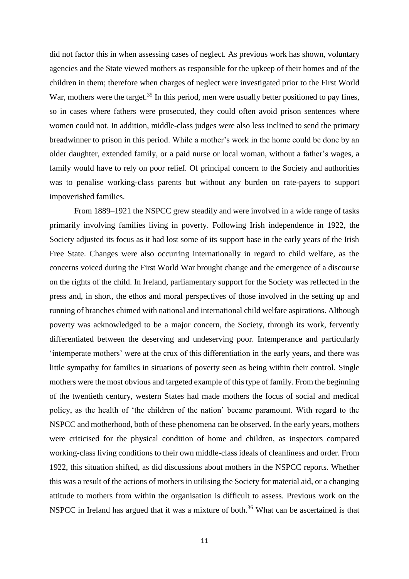did not factor this in when assessing cases of neglect. As previous work has shown, voluntary agencies and the State viewed mothers as responsible for the upkeep of their homes and of the children in them; therefore when charges of neglect were investigated prior to the First World War, mothers were the target.<sup>35</sup> In this period, men were usually better positioned to pay fines, so in cases where fathers were prosecuted, they could often avoid prison sentences where women could not. In addition, middle-class judges were also less inclined to send the primary breadwinner to prison in this period. While a mother's work in the home could be done by an older daughter, extended family, or a paid nurse or local woman, without a father's wages, a family would have to rely on poor relief. Of principal concern to the Society and authorities was to penalise working-class parents but without any burden on rate-payers to support impoverished families.

From 1889–1921 the NSPCC grew steadily and were involved in a wide range of tasks primarily involving families living in poverty. Following Irish independence in 1922, the Society adjusted its focus as it had lost some of its support base in the early years of the Irish Free State. Changes were also occurring internationally in regard to child welfare, as the concerns voiced during the First World War brought change and the emergence of a discourse on the rights of the child. In Ireland, parliamentary support for the Society was reflected in the press and, in short, the ethos and moral perspectives of those involved in the setting up and running of branches chimed with national and international child welfare aspirations. Although poverty was acknowledged to be a major concern, the Society, through its work, fervently differentiated between the deserving and undeserving poor. Intemperance and particularly 'intemperate mothers' were at the crux of this differentiation in the early years, and there was little sympathy for families in situations of poverty seen as being within their control. Single mothers were the most obvious and targeted example of this type of family. From the beginning of the twentieth century, western States had made mothers the focus of social and medical policy, as the health of 'the children of the nation' became paramount. With regard to the NSPCC and motherhood, both of these phenomena can be observed. In the early years, mothers were criticised for the physical condition of home and children, as inspectors compared working-class living conditions to their own middle-class ideals of cleanliness and order. From 1922, this situation shifted, as did discussions about mothers in the NSPCC reports. Whether this was a result of the actions of mothers in utilising the Society for material aid, or a changing attitude to mothers from within the organisation is difficult to assess. Previous work on the NSPCC in Ireland has argued that it was a mixture of both.<sup>36</sup> What can be ascertained is that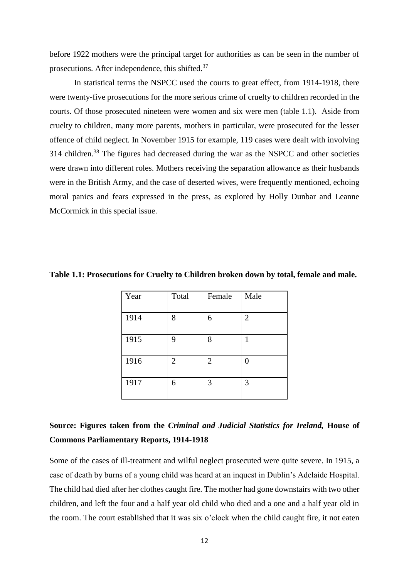before 1922 mothers were the principal target for authorities as can be seen in the number of prosecutions. After independence, this shifted.<sup>37</sup>

In statistical terms the NSPCC used the courts to great effect, from 1914-1918, there were twenty-five prosecutions for the more serious crime of cruelty to children recorded in the courts. Of those prosecuted nineteen were women and six were men (table 1.1). Aside from cruelty to children, many more parents, mothers in particular, were prosecuted for the lesser offence of child neglect. In November 1915 for example, 119 cases were dealt with involving 314 children.<sup>38</sup> The figures had decreased during the war as the NSPCC and other societies were drawn into different roles. Mothers receiving the separation allowance as their husbands were in the British Army, and the case of deserted wives, were frequently mentioned, echoing moral panics and fears expressed in the press, as explored by Holly Dunbar and Leanne McCormick in this special issue.

| Year | Total          | Female         | Male           |
|------|----------------|----------------|----------------|
| 1914 | 8              | 6              | $\overline{2}$ |
| 1915 | 9              | 8              |                |
| 1916 | $\overline{2}$ | $\overline{2}$ | 0              |
| 1917 | 6              | 3              | 3              |

**Table 1.1: Prosecutions for Cruelty to Children broken down by total, female and male.**

# **Source: Figures taken from the** *Criminal and Judicial Statistics for Ireland,* **House of Commons Parliamentary Reports, 1914-1918**

Some of the cases of ill-treatment and wilful neglect prosecuted were quite severe. In 1915, a case of death by burns of a young child was heard at an inquest in Dublin's Adelaide Hospital. The child had died after her clothes caught fire. The mother had gone downstairs with two other children, and left the four and a half year old child who died and a one and a half year old in the room. The court established that it was six o'clock when the child caught fire, it not eaten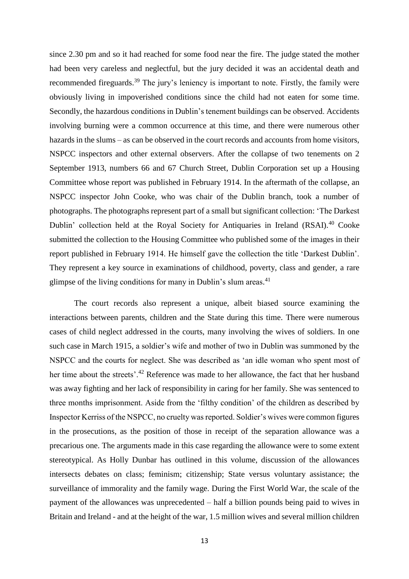since 2.30 pm and so it had reached for some food near the fire. The judge stated the mother had been very careless and neglectful, but the jury decided it was an accidental death and recommended fireguards.<sup>39</sup> The jury's leniency is important to note. Firstly, the family were obviously living in impoverished conditions since the child had not eaten for some time. Secondly, the hazardous conditions in Dublin's tenement buildings can be observed. Accidents involving burning were a common occurrence at this time, and there were numerous other hazards in the slums – as can be observed in the court records and accounts from home visitors, NSPCC inspectors and other external observers. After the collapse of two tenements on 2 September 1913, numbers 66 and 67 Church Street, Dublin Corporation set up a Housing Committee whose report was published in February 1914. In the aftermath of the collapse, an NSPCC inspector John Cooke, who was chair of the Dublin branch, took a number of photographs. The photographs represent part of a small but significant collection: 'The Darkest Dublin' collection held at the Royal Society for Antiquaries in Ireland (RSAI).<sup>40</sup> Cooke submitted the collection to the Housing Committee who published some of the images in their report published in February 1914. He himself gave the collection the title 'Darkest Dublin'. They represent a key source in examinations of childhood, poverty, class and gender, a rare glimpse of the living conditions for many in Dublin's slum areas.<sup>41</sup>

The court records also represent a unique, albeit biased source examining the interactions between parents, children and the State during this time. There were numerous cases of child neglect addressed in the courts, many involving the wives of soldiers. In one such case in March 1915, a soldier's wife and mother of two in Dublin was summoned by the NSPCC and the courts for neglect. She was described as 'an idle woman who spent most of her time about the streets'.<sup>42</sup> Reference was made to her allowance, the fact that her husband was away fighting and her lack of responsibility in caring for her family. She was sentenced to three months imprisonment. Aside from the 'filthy condition' of the children as described by Inspector Kerriss of the NSPCC, no cruelty was reported. Soldier's wives were common figures in the prosecutions, as the position of those in receipt of the separation allowance was a precarious one. The arguments made in this case regarding the allowance were to some extent stereotypical. As Holly Dunbar has outlined in this volume, discussion of the allowances intersects debates on class; feminism; citizenship; State versus voluntary assistance; the surveillance of immorality and the family wage. During the First World War, the scale of the payment of the allowances was unprecedented – half a billion pounds being paid to wives in Britain and Ireland - and at the height of the war, 1.5 million wives and several million children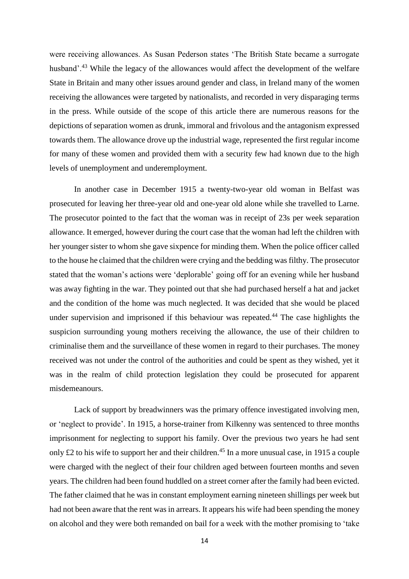were receiving allowances. As Susan Pederson states 'The British State became a surrogate husband'.<sup>43</sup> While the legacy of the allowances would affect the development of the welfare State in Britain and many other issues around gender and class, in Ireland many of the women receiving the allowances were targeted by nationalists, and recorded in very disparaging terms in the press. While outside of the scope of this article there are numerous reasons for the depictions of separation women as drunk, immoral and frivolous and the antagonism expressed towards them. The allowance drove up the industrial wage, represented the first regular income for many of these women and provided them with a security few had known due to the high levels of unemployment and underemployment.

In another case in December 1915 a twenty-two-year old woman in Belfast was prosecuted for leaving her three-year old and one-year old alone while she travelled to Larne. The prosecutor pointed to the fact that the woman was in receipt of 23s per week separation allowance. It emerged, however during the court case that the woman had left the children with her younger sister to whom she gave sixpence for minding them. When the police officer called to the house he claimed that the children were crying and the bedding was filthy. The prosecutor stated that the woman's actions were 'deplorable' going off for an evening while her husband was away fighting in the war. They pointed out that she had purchased herself a hat and jacket and the condition of the home was much neglected. It was decided that she would be placed under supervision and imprisoned if this behaviour was repeated.<sup>44</sup> The case highlights the suspicion surrounding young mothers receiving the allowance, the use of their children to criminalise them and the surveillance of these women in regard to their purchases. The money received was not under the control of the authorities and could be spent as they wished, yet it was in the realm of child protection legislation they could be prosecuted for apparent misdemeanours.

Lack of support by breadwinners was the primary offence investigated involving men, or 'neglect to provide'. In 1915, a horse-trainer from Kilkenny was sentenced to three months imprisonment for neglecting to support his family. Over the previous two years he had sent only £2 to his wife to support her and their children.<sup>45</sup> In a more unusual case, in 1915 a couple were charged with the neglect of their four children aged between fourteen months and seven years. The children had been found huddled on a street corner after the family had been evicted. The father claimed that he was in constant employment earning nineteen shillings per week but had not been aware that the rent was in arrears. It appears his wife had been spending the money on alcohol and they were both remanded on bail for a week with the mother promising to 'take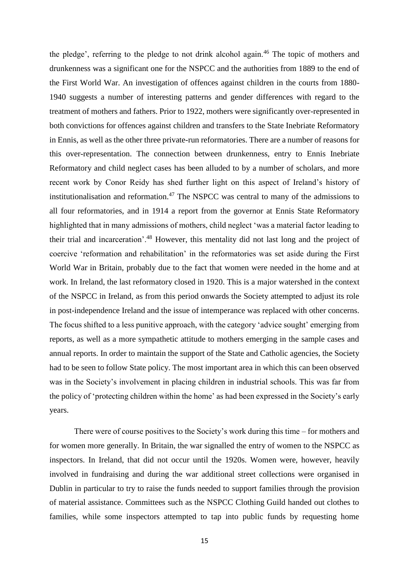the pledge', referring to the pledge to not drink alcohol again.<sup>46</sup> The topic of mothers and drunkenness was a significant one for the NSPCC and the authorities from 1889 to the end of the First World War. An investigation of offences against children in the courts from 1880- 1940 suggests a number of interesting patterns and gender differences with regard to the treatment of mothers and fathers. Prior to 1922, mothers were significantly over-represented in both convictions for offences against children and transfers to the State Inebriate Reformatory in Ennis, as well as the other three private-run reformatories. There are a number of reasons for this over-representation. The connection between drunkenness, entry to Ennis Inebriate Reformatory and child neglect cases has been alluded to by a number of scholars, and more recent work by Conor Reidy has shed further light on this aspect of Ireland's history of institutionalisation and reformation.<sup>47</sup> The NSPCC was central to many of the admissions to all four reformatories, and in 1914 a report from the governor at Ennis State Reformatory highlighted that in many admissions of mothers, child neglect 'was a material factor leading to their trial and incarceration'.<sup>48</sup> However, this mentality did not last long and the project of coercive 'reformation and rehabilitation' in the reformatories was set aside during the First World War in Britain, probably due to the fact that women were needed in the home and at work. In Ireland, the last reformatory closed in 1920. This is a major watershed in the context of the NSPCC in Ireland, as from this period onwards the Society attempted to adjust its role in post-independence Ireland and the issue of intemperance was replaced with other concerns. The focus shifted to a less punitive approach, with the category 'advice sought' emerging from reports, as well as a more sympathetic attitude to mothers emerging in the sample cases and annual reports. In order to maintain the support of the State and Catholic agencies, the Society had to be seen to follow State policy. The most important area in which this can been observed was in the Society's involvement in placing children in industrial schools. This was far from the policy of 'protecting children within the home' as had been expressed in the Society's early years.

There were of course positives to the Society's work during this time – for mothers and for women more generally. In Britain, the war signalled the entry of women to the NSPCC as inspectors. In Ireland, that did not occur until the 1920s. Women were, however, heavily involved in fundraising and during the war additional street collections were organised in Dublin in particular to try to raise the funds needed to support families through the provision of material assistance. Committees such as the NSPCC Clothing Guild handed out clothes to families, while some inspectors attempted to tap into public funds by requesting home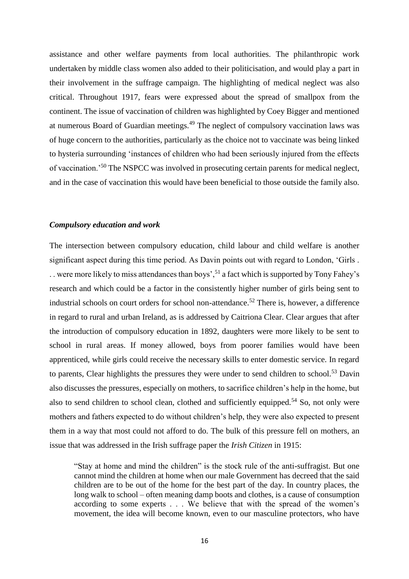assistance and other welfare payments from local authorities. The philanthropic work undertaken by middle class women also added to their politicisation, and would play a part in their involvement in the suffrage campaign. The highlighting of medical neglect was also critical. Throughout 1917, fears were expressed about the spread of smallpox from the continent. The issue of vaccination of children was highlighted by Coey Bigger and mentioned at numerous Board of Guardian meetings.<sup>49</sup> The neglect of compulsory vaccination laws was of huge concern to the authorities, particularly as the choice not to vaccinate was being linked to hysteria surrounding 'instances of children who had been seriously injured from the effects of vaccination.'<sup>50</sup> The NSPCC was involved in prosecuting certain parents for medical neglect, and in the case of vaccination this would have been beneficial to those outside the family also.

#### *Compulsory education and work*

The intersection between compulsory education, child labour and child welfare is another significant aspect during this time period. As Davin points out with regard to London, 'Girls . . . were more likely to miss attendances than boys',<sup>51</sup> a fact which is supported by Tony Fahey's research and which could be a factor in the consistently higher number of girls being sent to industrial schools on court orders for school non-attendance.<sup>52</sup> There is, however, a difference in regard to rural and urban Ireland, as is addressed by Caitriona Clear. Clear argues that after the introduction of compulsory education in 1892, daughters were more likely to be sent to school in rural areas. If money allowed, boys from poorer families would have been apprenticed, while girls could receive the necessary skills to enter domestic service. In regard to parents, Clear highlights the pressures they were under to send children to school.<sup>53</sup> Davin also discusses the pressures, especially on mothers, to sacrifice children's help in the home, but also to send children to school clean, clothed and sufficiently equipped.<sup>54</sup> So, not only were mothers and fathers expected to do without children's help, they were also expected to present them in a way that most could not afford to do. The bulk of this pressure fell on mothers, an issue that was addressed in the Irish suffrage paper the *Irish Citizen* in 1915:

"Stay at home and mind the children" is the stock rule of the anti-suffragist. But one cannot mind the children at home when our male Government has decreed that the said children are to be out of the home for the best part of the day. In country places, the long walk to school – often meaning damp boots and clothes, is a cause of consumption according to some experts . . . We believe that with the spread of the women's movement, the idea will become known, even to our masculine protectors, who have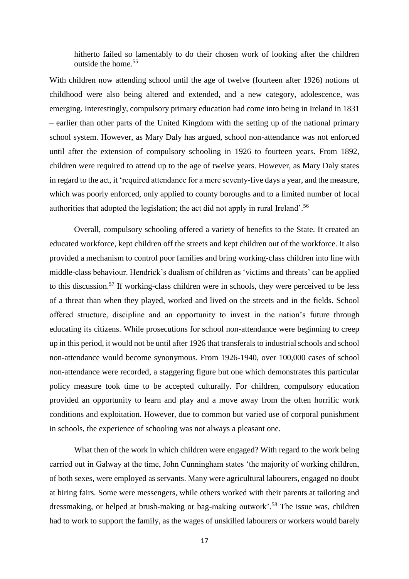hitherto failed so lamentably to do their chosen work of looking after the children outside the home.<sup>55</sup>

With children now attending school until the age of twelve (fourteen after 1926) notions of childhood were also being altered and extended, and a new category, adolescence, was emerging. Interestingly, compulsory primary education had come into being in Ireland in 1831 – earlier than other parts of the United Kingdom with the setting up of the national primary school system. However, as Mary Daly has argued, school non-attendance was not enforced until after the extension of compulsory schooling in 1926 to fourteen years. From 1892, children were required to attend up to the age of twelve years. However, as Mary Daly states in regard to the act, it 'required attendance for a mere seventy-five days a year, and the measure, which was poorly enforced, only applied to county boroughs and to a limited number of local authorities that adopted the legislation; the act did not apply in rural Ireland'.<sup>56</sup>

Overall, compulsory schooling offered a variety of benefits to the State. It created an educated workforce, kept children off the streets and kept children out of the workforce. It also provided a mechanism to control poor families and bring working-class children into line with middle-class behaviour. Hendrick's dualism of children as 'victims and threats' can be applied to this discussion.<sup>57</sup> If working-class children were in schools, they were perceived to be less of a threat than when they played, worked and lived on the streets and in the fields. School offered structure, discipline and an opportunity to invest in the nation's future through educating its citizens. While prosecutions for school non-attendance were beginning to creep up in this period, it would not be until after 1926 that transferals to industrial schools and school non-attendance would become synonymous. From 1926-1940, over 100,000 cases of school non-attendance were recorded, a staggering figure but one which demonstrates this particular policy measure took time to be accepted culturally. For children, compulsory education provided an opportunity to learn and play and a move away from the often horrific work conditions and exploitation. However, due to common but varied use of corporal punishment in schools, the experience of schooling was not always a pleasant one.

What then of the work in which children were engaged? With regard to the work being carried out in Galway at the time, John Cunningham states 'the majority of working children, of both sexes, were employed as servants. Many were agricultural labourers, engaged no doubt at hiring fairs. Some were messengers, while others worked with their parents at tailoring and dressmaking, or helped at brush-making or bag-making outwork'.<sup>58</sup> The issue was, children had to work to support the family, as the wages of unskilled labourers or workers would barely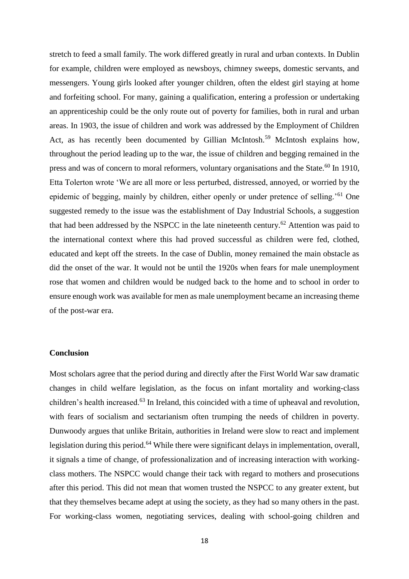stretch to feed a small family. The work differed greatly in rural and urban contexts. In Dublin for example, children were employed as newsboys, chimney sweeps, domestic servants, and messengers. Young girls looked after younger children, often the eldest girl staying at home and forfeiting school. For many, gaining a qualification, entering a profession or undertaking an apprenticeship could be the only route out of poverty for families, both in rural and urban areas. In 1903, the issue of children and work was addressed by the Employment of Children Act, as has recently been documented by Gillian McIntosh.<sup>59</sup> McIntosh explains how, throughout the period leading up to the war, the issue of children and begging remained in the press and was of concern to moral reformers, voluntary organisations and the State.<sup>60</sup> In 1910, Etta Tolerton wrote 'We are all more or less perturbed, distressed, annoyed, or worried by the epidemic of begging, mainly by children, either openly or under pretence of selling.<sup>'61</sup> One suggested remedy to the issue was the establishment of Day Industrial Schools, a suggestion that had been addressed by the NSPCC in the late nineteenth century.<sup>62</sup> Attention was paid to the international context where this had proved successful as children were fed, clothed, educated and kept off the streets. In the case of Dublin, money remained the main obstacle as did the onset of the war. It would not be until the 1920s when fears for male unemployment rose that women and children would be nudged back to the home and to school in order to ensure enough work was available for men as male unemployment became an increasing theme of the post-war era.

#### **Conclusion**

Most scholars agree that the period during and directly after the First World War saw dramatic changes in child welfare legislation, as the focus on infant mortality and working-class children's health increased.<sup>63</sup> In Ireland, this coincided with a time of upheaval and revolution, with fears of socialism and sectarianism often trumping the needs of children in poverty. Dunwoody argues that unlike Britain, authorities in Ireland were slow to react and implement legislation during this period.<sup>64</sup> While there were significant delays in implementation, overall, it signals a time of change, of professionalization and of increasing interaction with workingclass mothers. The NSPCC would change their tack with regard to mothers and prosecutions after this period. This did not mean that women trusted the NSPCC to any greater extent, but that they themselves became adept at using the society, as they had so many others in the past. For working-class women, negotiating services, dealing with school-going children and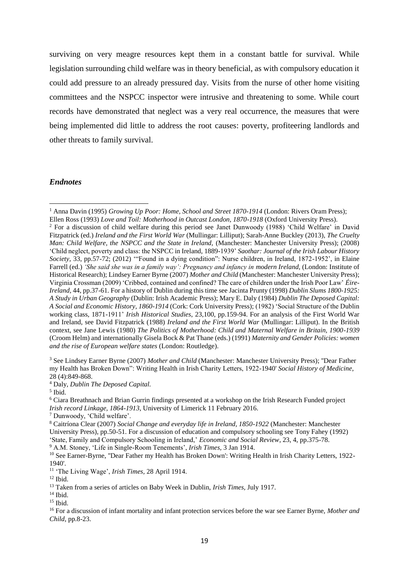surviving on very meagre resources kept them in a constant battle for survival. While legislation surrounding child welfare was in theory beneficial, as with compulsory education it could add pressure to an already pressured day. Visits from the nurse of other home visiting committees and the NSPCC inspector were intrusive and threatening to some. While court records have demonstrated that neglect was a very real occurrence, the measures that were being implemented did little to address the root causes: poverty, profiteering landlords and other threats to family survival.

#### *Endnotes*

<sup>3</sup> See Lindsey Earner Byrne (2007) *Mother and Child* (Manchester: Manchester University Press); ''Dear Father my Health has Broken Down": Writing Health in Irish Charity Letters, 1922-1940' *Social History of Medicine*, 28 (4):849-868.

<sup>9</sup> A.M. Stoney, 'Life in Single-Room Tenements', *Irish Times,* 3 Jan 1914.

 $14$  Ibid.

<sup>&</sup>lt;sup>1</sup> Anna Davin (1995) *Growing Up Poor: Home, School and Street 1870-1914* (London: Rivers Oram Press); Ellen Ross (1993) *Love and Toil: Motherhood in Outcast London, 1870-1918* (Oxford University Press). 1

<sup>2</sup> For a discussion of child welfare during this period see Janet Dunwoody (1988) 'Child Welfare' in David Fitzpatrick (ed.) *Ireland and the First World War* (Mullingar: Lilliput); Sarah-Anne Buckley (2013), *The Cruelty Man: Child Welfare, the NSPCC and the State in Ireland, (Manchester: Manchester University Press); (2008)* 'Child neglect, poverty and class: the NSPCC in Ireland, 1889-1939' *Saothar: Journal of the Irish Labour History Society,* 33, pp.57-72; (2012) '"Found in a dying condition": Nurse children, in Ireland, 1872-1952', in Elaine Farrell (ed.) *'She said she was in a family way': Pregnancy and infancy in modern Ireland*, (London: Institute of Historical Research); Lindsey Earner Byrne (2007) *Mother and Child* (Manchester: Manchester University Press); Virginia Crossman (2009) 'Cribbed, contained and confined? The care of children under the Irish Poor Law' *Éire-Ireland,* 44, pp.37-61*.* For a history of Dublin during this time see Jacinta Prunty (1998) *Dublin Slums 1800-1925: A Study in Urban Geography* (Dublin: Irish Academic Press); Mary E. Daly (1984) *Dublin The Deposed Capital: A Social and Economic History, 1860-1914* (Cork: Cork University Press); (1982) 'Social Structure of the Dublin working class, 1871-1911' *Irish Historical Studies*, 23,100, pp.159-94. For an analysis of the First World War and Ireland, see David Fitzpatrick (1988) *Ireland and the First World War* (Mullingar: Lilliput). In the British context, see Jane Lewis (1980) *The Politics of Motherhood: Child and Maternal Welfare in Britain, 1900-1939*  (Croom Helm) and internationally Gisela Bock & Pat Thane (eds.) (1991) *Maternity and Gender Policies: women and the rise of European welfare states* (London: Routledge).

<sup>4</sup> Daly, *Dublin The Deposed Capital.*

<sup>5</sup> Ibid.

<sup>6</sup> Ciara Breathnach and Brian Gurrin findings presented at a workshop on the Irish Research Funded project *Irish record Linkage, 1864-1913*, University of Limerick 11 February 2016.

<sup>7</sup> Dunwoody, 'Child welfare'.

<sup>8</sup> Caitríona Clear (2007) *Social Change and everyday life in Ireland, 1850-1922* (Manchester: Manchester University Press), pp.50-51. For a discussion of education and compulsory schooling see Tony Fahey (1992) 'State, Family and Compulsory Schooling in Ireland,' *Economic and Social Review*, 23, 4, pp.375-78.

<sup>&</sup>lt;sup>10</sup> See Earner-Byrne, "Dear Father my Health has Broken Down': Writing Health in Irish Charity Letters, 1922-1940'.

<sup>11</sup> 'The Living Wage', *Irish Times,* 28 April 1914.

 $12$  Ibid.

<sup>13</sup> Taken from a series of articles on Baby Week in Dublin, *Irish Times,* July 1917.

 $15$  Ibid.

<sup>16</sup> For a discussion of infant mortality and infant protection services before the war see Earner Byrne, *Mother and Child*, pp.8-23.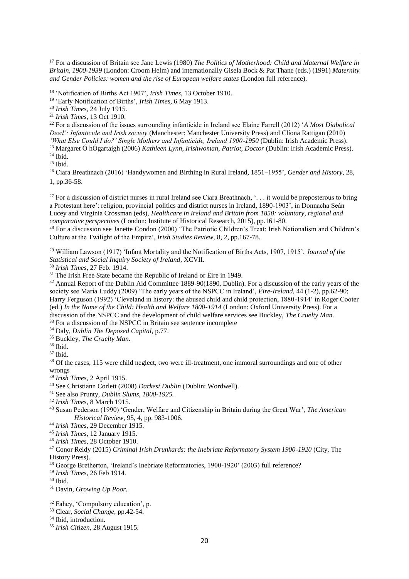For a discussion of Britain see Jane Lewis (1980) *The Politics of Motherhood: Child and Maternal Welfare in Britain, 1900-1939* (London: Croom Helm) and internationally Gisela Bock & Pat Thane (eds.) (1991) *Maternity and Gender Policies: women and the rise of European welfare states* (London full reference).

'Notification of Births Act 1907', *Irish Times,* 13 October 1910.

'Early Notification of Births', *Irish Times,* 6 May 1913.

 For a discussion of the issues surrounding infanticide in Ireland see Elaine Farrell (2012) '*A Most Diabolical Deed': Infanticide and Irish society* (Manchester: Manchester University Press) and Clíona Rattigan (2010) *'What Else Could I do?' Single Mothers and Infanticide, Ireland 1900-1950* (Dublin: Irish Academic Press).

Margaret Ó hÓgartaigh (2006) *Kathleen Lynn*, *Irishwoman, Patriot, Doctor* (Dublin: Irish Academic Press).

Ibid.

Ibid.

 Ciara Breathnach (2016) 'Handywomen and Birthing in Rural Ireland, 1851–1955', *Gender and History*, 28, 1, pp.36-58.

<sup>27</sup> For a discussion of district nurses in rural Ireland see Ciara Breathnach, '... it would be preposterous to bring a Protestant here': religion, provincial politics and district nurses in Ireland, 1890-1903', in Donnacha Seán Lucey and Virginia Crossman (eds), *Healthcare in Ireland and Britain from 1850: voluntary, regional and comparative perspectives* (London: Institute of Historical Research, 2015), pp.161-80.

<sup>28</sup> For a discussion see Janette Condon (2000) 'The Patriotic Children's Treat: Irish Nationalism and Children's Culture at the Twilight of the Empire', *Irish Studies Review,* 8, 2, pp.167-78.

 William Lawson (1917) 'Infant Mortality and the Notification of Births Acts, 1907, 1915', *Journal of the Statistical and Social Inquiry Society of Ireland*, XCVII.

*Irish Times*, 27 Feb. 1914.

The Irish Free State became the Republic of Ireland or Éire in 1949.

<sup>32</sup> Annual Report of the Dublin Aid Committee 1889-90(1890, Dublin). For a discussion of the early years of the society see Maria Luddy (2009) 'The early years of the NSPCC in Ireland', *Éire-Ireland,* 44 (1-2), pp.62-90; Harry Ferguson (1992) 'Cleveland in history: the abused child and child protection, 1880-1914' in Roger Cooter (ed.) *In the Name of the Child: Health and Welfare 1800-1914* (London: Oxford University Press). For a discussion of the NSPCC and the development of child welfare services see Buckley, *The Cruelty Man.* <sup>33</sup> For a discussion of the NSPCC in Britain see sentence incomplete

Daly, *Dublin The Deposed Capital*, p.77.

Buckley, *The Cruelty Man.*

Ibid.

Ibid.

<sup>38</sup> Of the cases, 115 were child neglect, two were ill-treatment, one immoral surroundings and one of other wrongs

*Irish Times*, 2 April 1915.

See Christiann Corlett (2008) *Darkest Dublin* (Dublin: Wordwell).

See also Prunty, *Dublin Slums, 1800-1925.*

- *Irish Times,* 8 March 1915.
- Susan Pederson (1990) 'Gender, Welfare and Citizenship in Britain during the Great War', *The American Historical Review*, 95, 4, pp. 983-1006.

*Irish Times,* 29 December 1915.

*Irish Times,* 12 January 1915.

*Irish Times*, 28 October 1910.

 Conor Reidy (2015) *Criminal Irish Drunkards: the Inebriate Reformatory System 1900-1920* (City, The History Press).

George Bretherton, 'Ireland's Inebriate Reformatories, 1900-1920' (2003) full reference?

*Irish Times,* 26 Feb 1914.

Ibid.

Davin, *Growing Up Poor.* 

Fahey, 'Compulsory education', p.

Clear, *Social Change,* pp.42-54.

Ibid*,* introduction.

*Irish Citizen,* 28 August 1915.

*Irish Times,* 24 July 1915.

*Irish Times,* 13 Oct 1910.